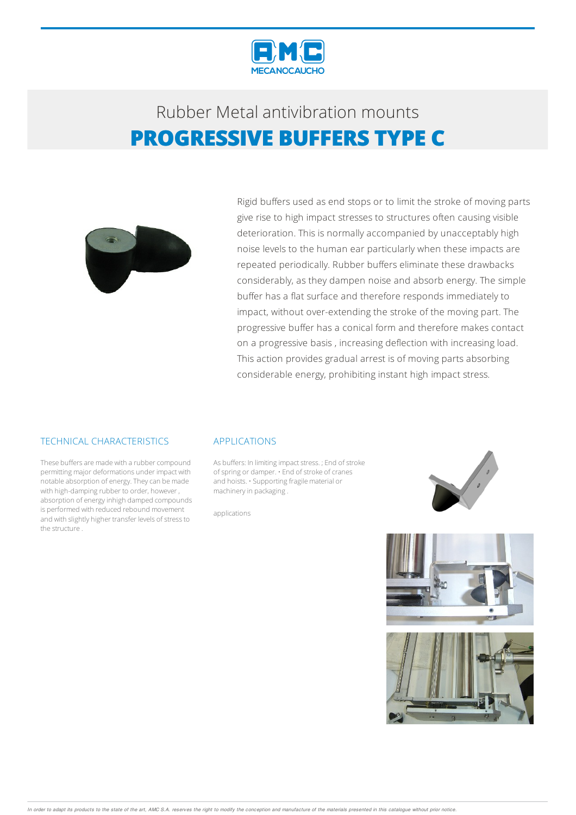

## Rubber Metalantivibration mounts **PROGRESSIVE BUFFERS TYPE C**



Rigid buffers used as end stops or to limit the stroke of moving parts give rise to high impact stresses to structures often causing visible deterioration. This is normally accompanied by unacceptably high noise levels to the human ear particularly when these impacts are repeated periodically. Rubber buffers eliminate these drawbacks considerably, as they dampen noise and absorb energy. The simple buffer has a flat surface and therefore responds immediately to impact, without over-extending the stroke of the moving part. The progressive buffer has a conical form and therefore makes contact on a progressive basis , increasing deflection with increasing load. This action provides gradual arrest is of moving parts absorbing considerable energy, prohibiting instant high impact stress.

### TECHNICAL CHARACTERISTICS

These buffers are made with a rubber compound permitting major deformations under impact with notable absorption of energy.Theycan bemade with high-damping rubber to order, however, absorption of energy inhigh damped compounds is performed with reduced rebound movement and with slightly higher transfer levels of stressto the structure .

#### APPLICATIONS

As buffers: In limiting impact stress. ; End of stroke of spring or damper.  $\cdot$  End of stroke of cranes and hoists. • Supporting fragile material or machinery in packaging.

applications



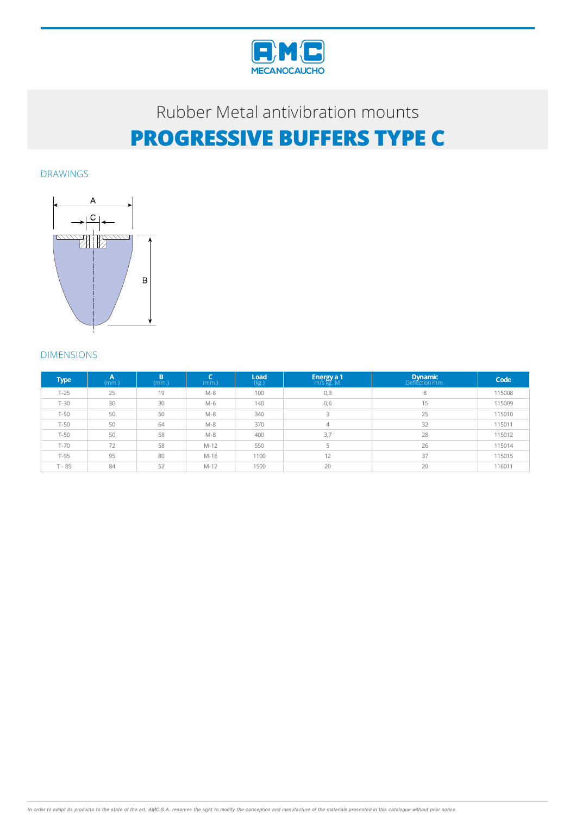

# Rubber Metalantivibration mounts **PROGRESSIVE BUFFERS TYPE C**

DRAWINGS



### DIMENSIONS

| <b>Type</b> | А<br>(mm.) | B<br>(mm.) | (mm.)  | Load<br>(kg.) | <b>Energy a 1</b> m/s kg. M. | Dynamic | Code   |
|-------------|------------|------------|--------|---------------|------------------------------|---------|--------|
| $T-25$      | 25         | 19         | $M-8$  | 100           | 0,3                          | 8       | 115008 |
| $T-30$      | 30         | 30         | $M-6$  | 140           | 0,6                          | 15      | 115009 |
| $T-50$      | 50         | 50         | $M-8$  | 340           | 3                            | 25      | 115010 |
| $T-50$      | 50         | 64         | $M-8$  | 370           | 4                            | 32      | 115011 |
| $T-50$      | 50         | 58         | $M-8$  | 400           | 3,7                          | 28      | 115012 |
| $T-70$      | 72         | 58         | $M-12$ | 550           |                              | 26      | 115014 |
| T-95        | 95         | 80         | $M-16$ | 1100          | 12                           | 37      | 115015 |
| $T - 85$    | 84         | 52         | $M-12$ | 1500          | 20                           | 20      | 116011 |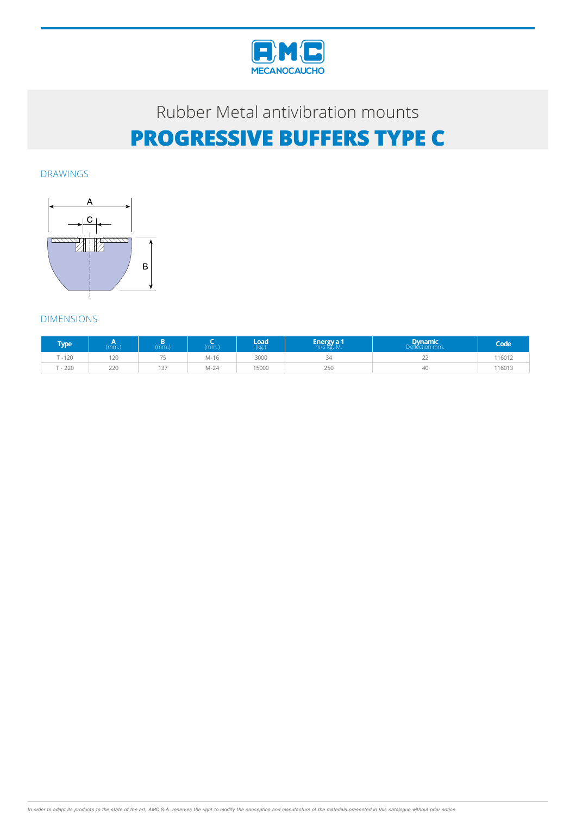

# Rubber Metal antivibration mounts **PROGRESSIVE BUFFERS TYPE C**

DRAWINGS



### DIMENSIONS

| Гуре   | (mm.) | $mm.$ ) | (mm)   | Load<br>(kg.) | <b>Energy</b> a 1<br>m/s kg. M. | <b>Dynamic</b><br>Defléction mm. | Code   |
|--------|-------|---------|--------|---------------|---------------------------------|----------------------------------|--------|
| T-120  | 120   | --      | M-16   | 3000          | 34                              | <u>__</u>                        | 116012 |
| $-220$ | 220   | 137     | $M-24$ | 15000         | 250                             | 40                               | 116013 |